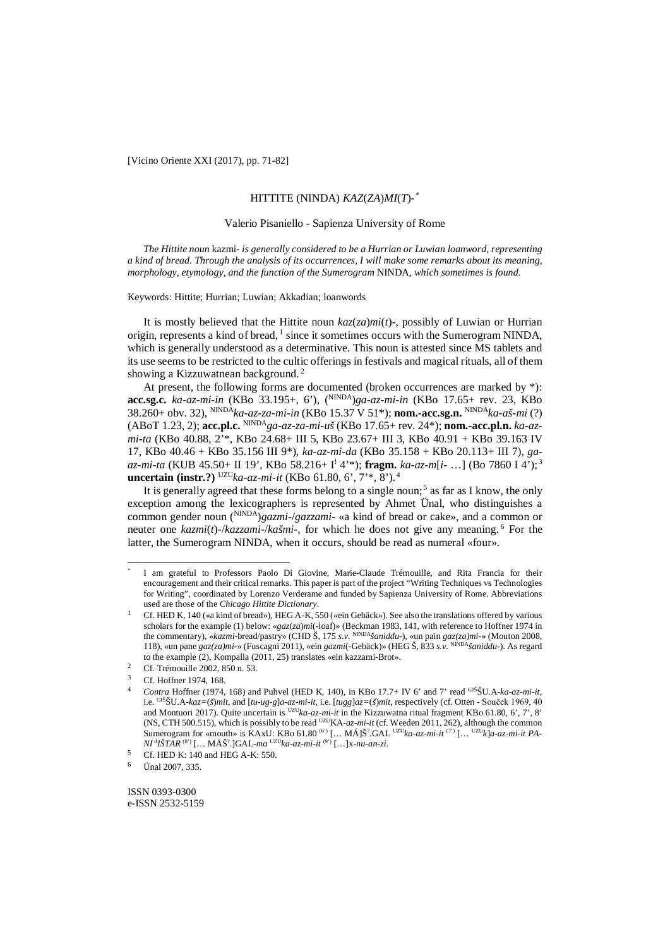[Vicino Oriente XXI (2017), pp. 71-82]

# HITTITE (NINDA) *KAZ*(*ZA*)*MI*(*T*)*-* \*

#### Valerio Pisaniello - Sapienza University of Rome

*The Hittite noun* kazmi- *is generally considered to be a Hurrian or Luwian loanword, representing a kind of bread. Through the analysis of its occurrences, I will make some remarks about its meaning, morphology, etymology, and the function of the Sumerogram* NINDA*, which sometimes is found.*

Keywords: Hittite; Hurrian; Luwian; Akkadian; loanwords

It is mostly believed that the Hittite noun *kaz*(*za*)*mi*(*t*)*-*, possibly of Luwian or Hurrian origin, represents a kind of bread,  $\frac{1}{1}$  since it sometimes occurs with the Sumerogram NINDA, which is generally understood as a determinative. This noun is attested since MS tablets and its use seems to be restricted to the cultic offerings in festivals and magical rituals, all of them showing a Kizzuwatnean background.<sup>2</sup>

At present, the following forms are documented (broken occurrences are marked by \*): **acc.sg.c.** *ka-az-mi-in* (KBo 33.195+, 6'), ( NINDA)*ga-az-mi-in* (KBo 17.65+ rev. 23, KBo 38.260+ obv. 32), NINDA*ka-az-za-mi-in* (KBo 15.37 V 51\*); **nom.-acc.sg.n.** NINDA*ka-aš-mi* (?) (ABoT 1.23, 2); **acc.pl.c.** NINDA*ga-az-za-mi-uš* (KBo 17.65+ rev. 24\*); **nom.-acc.pl.n.** *ka-azmi-ta* (KBo 40.88, 2'\*, KBo 24.68+ III 5, KBo 23.67+ III 3, KBo 40.91 + KBo 39.163 IV 17, KBo 40.46 + KBo 35.156 III 9\*), *ka-az-mi-da* (KBo 35.158 + KBo 20.113+ III 7), *gaaz-mi-ta* (KUB 45.50+ II 19', KBo 58.216+ I! 4'\*); **fragm.** *ka-az-m*[*i-* …] (Bo 7860 I 4');3 **uncertain (instr.?)** UZU*ka-az-mi-it* (KBo 61.80, 6', 7'\*, 8'). 4

It is generally agreed that these forms belong to a single noun;<sup>5</sup> as far as I know, the only exception among the lexicographers is represented by Ahmet Ünal, who distinguishes a common gender noun ( NINDA)*gazmi-*/*gazzami-* «a kind of bread or cake», and a common or neuter one *kazmi*(*t*)*-*/*kazzami-*/*kašmi-*, for which he does not give any meaning. <sup>6</sup> For the latter, the Sumerogram NINDA, when it occurs, should be read as numeral «four».

 $\overline{a}$ 

ISSN 0393-0300 e-ISSN 2532-5159

I am grateful to Professors Paolo Di Giovine, Marie-Claude Trémouille, and Rita Francia for their encouragement and their critical remarks. This paper is part of the project "Writing Techniques vs Technologies for Writing", coordinated by Lorenzo Verderame and funded by Sapienza University of Rome. Abbreviations used are those of the *Chicago Hittite Dictionary*.

<sup>1</sup> Cf. HED K, 140 («a kind of bread»), HEG A-K, 550 («ein Gebäck»). See also the translations offered by various scholars for the example (1) below: «*gaz*(*za*)*mi*(-loaf)» (Beckman 1983, 141, with reference to Hoffner 1974 in the commentary), «*kazmi*-bread/pastry» (CHD Š, 175 *s.v.* NINDA*šaniddu-*), «un pain *gaz(za)mi-*» (Mouton 2008, 118), «un pane *gaz(za)mi-*» (Fuscagni 2011), «ein *gazmi*(-Gebäck)» (HEG Š, 833 *s.v.* NINDA*šaniddu-*). As regard to the example (2), Kompalla (2011, 25) translates «ein kazzami-Brot».

<sup>&</sup>lt;sup>2</sup> Cf. Trémouille 2002, 850 n. 53.

Cf. Hoffner 1974, 168.

<sup>4</sup> *Contra* Hoffner (1974, 168) and Puhvel (HED K, 140), in KBo 17.7+ IV 6' and 7' read GIŠŠU.A*-ka-az-mi-it*, i.e. GIŠŠU.A*-kaz=*(*š*)*mit*, and [*tu-ug-g*]*a-az-mi-it*, i.e. [*tugg*]*az=*(*š*)*mit*, respectively (cf. Otten - Souček 1969, 40 and Montuori 2017). Quite uncertain is <sup>UZU</sup>ka-az-mi-it in the Kizzuwatna ritual fragment KBo 61.80, 6', 7', 8' (NS, CTH 500.515), which is possibly to be read UZUKA*-az-mi-it* (cf. Weeden 2011, 262), although the common Sumerogram for «mouth» is KAxU: KBo 61.80<sup>(6')</sup> [... MÁ]Š<sup>2</sup>.GAL <sup>UZU</sup>*ka-az-mi-it*<sup>(7')</sup> [... <sup>UZU</sup>*k*]*a-az-mi-it PA-NI* <sup>d</sup> *IŠTAR* (8') [… MÁŠ? .]GAL*-ma* UZU*ka-az-mi-it* (9') […]x*-nu-an-zi*.

<sup>&</sup>lt;sup>5</sup> Cf. HED K: 140 and HEG A-K: 550.

<sup>6</sup> Ünal 2007, 335.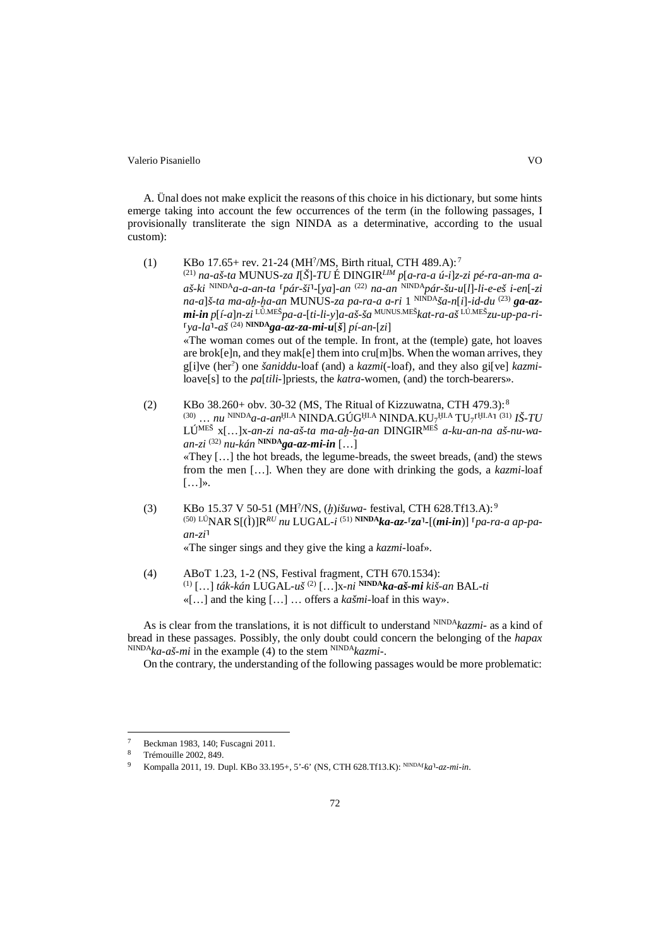A. Ünal does not make explicit the reasons of this choice in his dictionary, but some hints emerge taking into account the few occurrences of the term (in the following passages, I provisionally transliterate the sign NINDA as a determinative, according to the usual custom):

(1) KBo 17.65+ rev. 21-24 (MH<sup>2</sup>/MS, Birth ritual, CTH 489.A):<sup>7</sup>

(21) *na-aš-ta* MUNUS*-za I*[*Š*]*-TU* É DINGIR*LIM p*[*a-ra-a ú-i*]*z-zi pé-ra-an-ma aaš-ki* NINDA*a-a-an-ta* ⸢*pár-ši*⸣*-*[*ya*]*-an* (22) *na-an* NINDA*pár-šu-u*[*l*]*-li-e-eš i-en*[*-zi na-a*]*š-ta ma-aḫ-ḫa-an* MUNUS*-za pa-ra-a a-ri* 1 NINDA*ša-n*[*i*]*-id-du* (23) *ga-azmi-in p*[*í-a*]*n-zi* LÚ.MEŠ*pa-a-*[*ti-li-y*]*a-aš-ša* MUNUS.MEŠ*kat-ra-aš* LÚ.MEŠ*zu-up-pa-ri-*  $\int \frac{1}{\sqrt{2}} \int \frac{1}{\sqrt{2}} \int \frac{1}{\sqrt{2}} \int \frac{1}{\sqrt{2}} \int \frac{1}{\sqrt{2}} \int \frac{1}{\sqrt{2}} \int \frac{1}{\sqrt{2}} \int \frac{1}{\sqrt{2}} \int \frac{1}{\sqrt{2}} \int \frac{1}{\sqrt{2}} \int \frac{1}{\sqrt{2}} \int \frac{1}{\sqrt{2}} \int \frac{1}{\sqrt{2}} \int \frac{1}{\sqrt{2}} \int \frac{1}{\sqrt{2}} \int \frac{1}{\sqrt{2}} \int \frac{1}{\sqrt{2}} \int \frac{1}{\sqrt{2}} \int \frac$ 

«The woman comes out of the temple. In front, at the (temple) gate, hot loaves are brok[e]n, and they mak[e] them into cru[m]bs. When the woman arrives, they g[i]ve (her? ) one *šaniddu*-loaf (and) a *kazmi*(-loaf), and they also gi[ve] *kazmi*loave[s] to the *pa*[*tili-*]priests, the *katra*-women, (and) the torch-bearers».

- (2) KBo 38.260+ obv. 30-32 (MS, The Ritual of Kizzuwatna, CTH 479.3):<sup>8</sup> <sup>(30)</sup> ... nu <sup>NINDA</sup>a-a-an<sup>ţıl.A</sup> NINDA.GÚG<sup>ţıl.A</sup> NINDA.KU7<sup>ţıl.A</sup> TU7<sup>ΓţILA</sup>I <sup>(31)</sup> IŠ-TU LÚMEŠ x[…]x*-an-zi na-aš-ta ma-aḫ-ḫa-an* DINGIRMEŠ *a-ku-an-na aš-nu-waan-zi* (32) *nu-kán* **NINDA***ga-az-mi-in* […] «They […] the hot breads, the legume-breads, the sweet breads, (and) the stews from the men […]. When they are done with drinking the gods, a *kazmi*-loaf […]».
- (3) KBo 15.37 V 50-51 (MH? /NS, (*ḫ*)*išuwa* festival, CTH 628.Tf13.A): <sup>9</sup> (50) LÚNAR S[(Ì)]R*RU nu* LUGAL*-i* (51) **NINDA***ka-az-*⸢*za*⸣*-*[(*mi-in*)] ⸢*pa-ra-a ap-pa* $an-zi$ <sup> $\overline{a}$ </sup> «The singer sings and they give the king a *kazmi-*loaf».
- (4) ABoT 1.23, 1-2 (NS, Festival fragment, CTH 670.1534): (1) […] *ták-kán* LUGAL*-uš* (2) […]x*-ni* **NINDA***ka-aš-mi kiš-an* BAL*-ti* «[…] and the king […] … offers a *kašmi-*loaf in this way».

As is clear from the translations, it is not difficult to understand NINDA*kazmi-* as a kind of bread in these passages. Possibly, the only doubt could concern the belonging of the *hapax* NINDA*ka-aš-mi* in the example (4) to the stem NINDA*kazmi-*.

On the contrary, the understanding of the following passages would be more problematic:

<sup>7</sup> Beckman 1983, 140; Fuscagni 2011.

<sup>8</sup> Trémouille 2002, 849.

Kompalla 2011, 19. Dupl. KBo 33.195+, 5'-6' (NS, CTH 628.Tf13.K): NINDA<sup>*[ka*]</sup>-az-mi-in.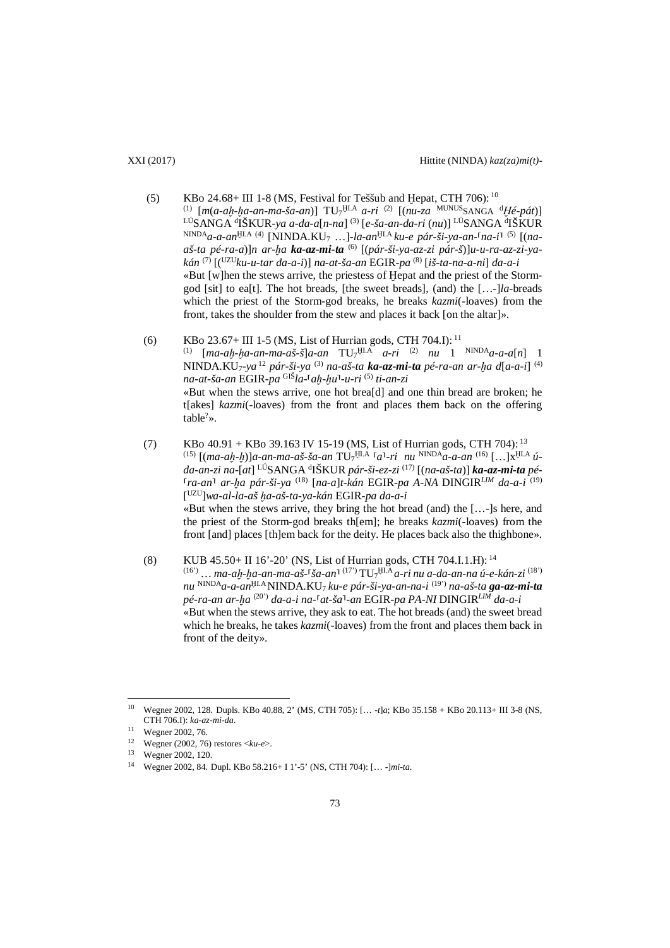- (5) KBo 24.68+ III 1-8 (MS, Festival for Teššub and Hepat, CTH 706):  $^{10}$ (1) [*m*(*a-aḫ-ḫa-an-ma-ša-an*)] TU7 <sup>Ḫ</sup>I.A *a-ri* (2) [(*nu-za* MUNUSSANGA <sup>d</sup> *Ḫé-pát*)] LÚSANGA <sup>d</sup> IŠKUR*-ya a-da-a*[*n-na*] (3) [*e-ša-an-da-ri* (*nu*)] LÚSANGA <sup>d</sup> IŠKUR NINDA*a-a-an*<sup>Ḫ</sup>I.A (4) [NINDA.KU7 …]*-la-an*<sup>Ḫ</sup>I.A *ku-e pár-ši-ya-an-*⸢*na-i*⸣ (5) [(*naaš-ta pé-ra-a*)]*n ar-ḫa ka-az-mi-ta* (6) [(*pár-ši-ya-az-zi pár-š*)]*u-u-ra-az-zi-yakán* (7) [(UZU*ku-u-tar da-a-i*)] *na-at-ša-an* EGIR*-pa* (8) [*iš-ta-na-a-ni*] *da-a-i* «But [w]hen the stews arrive, the priestess of Ḫepat and the priest of the Stormgod [sit] to ea[t]. The hot breads, [the sweet breads], (and) the […-]*la*-breads which the priest of the Storm-god breaks, he breaks *kazmi*(-loaves) from the front, takes the shoulder from the stew and places it back [on the altar]».
- (6) KBo 23.67+ III 1-5 (MS, List of Hurrian gods, CTH 704.I):  $^{11}$ (1) [*ma-aḫ-ḫa-an-ma-aš-š*]*a-an* TU7 <sup>Ḫ</sup>I.A *a-ri* (2) *nu* 1 NINDA*a-a-a*[*n*] 1 NINDA.KU7*-ya* <sup>12</sup> *pár-ši-ya* (3) *na-aš-ta ka-az-mi-ta pé-ra-an ar-ḫa d*[*a-a-i*] (4) *na-at-ša-an* EGIR*-pa* GIŠ*la-*⸢*aḫ-ḫu*⸣*-u-ri* (5) *ti-an-zi* «But when the stews arrive, one hot brea[d] and one thin bread are broken; he t[akes] *kazmi*(-loaves) from the front and places them back on the offering  $table<sup>?</sup>$ ».
- (7) KBo  $40.91 +$ KBo  $39.163$  IV 15-19 (MS, List of Hurrian gods, CTH 704): <sup>13</sup> (15) [(*ma-aḫ-ḫ*)]*a-an-ma-aš-ša-an* TU7 <sup>Ḫ</sup>I.A ⸢*a*⸣*-ri nu* NINDA*a-a-an* (16) […]x<sup>Ḫ</sup>I.A *úda-an-zi na-*[*at*] LÚSANGA <sup>d</sup> IŠKUR *pár-ši-ez-zi* (17) [(*na-aš-ta*)] *ka-az-mi-ta pé-* ⸢*ra-an*⸣ *ar-ḫa pár-ši-ya* (18) [*na-a*]*t-kán* EGIR*-pa A-NA* DINGIR*LIM da-a-i* (19) [ UZU]*wa-al-la-aš ḫa-aš-ta-ya-kán* EGIR*-pa da-a-i* «But when the stews arrive, they bring the hot bread (and) the […-]s here, and the priest of the Storm-god breaks th[em]; he breaks *kazmi*(-loaves) from the front [and] places [th]em back for the deity. He places back also the thighbone».
- (8) KUB 45.50+ II 16'-20' (NS, List of Hurrian gods, CTH 704.I.1.H): <sup>14</sup> (16') … *ma-aḫ-ḫa-an-ma-aš-*⸢*ša-an*⸣ (17') TU7 <sup>Ḫ</sup>I.A *a-ri nu a-da-an-na ú-e-kán-zi* (18') *nu* NINDA*a-a-an*<sup>Ḫ</sup>I.A NINDA.KU7 *ku-e pár-ši-ya-an-na-i* (19') *na-aš-ta ga-az-mi-ta pé-ra-an ar-ḫa* (20') *da-a-i na-*⸢*at-ša*⸣*-an* EGIR*-pa PA-NI* DINGIR*LIM da-a-i* «But when the stews arrive, they ask to eat. The hot breads (and) the sweet bread which he breaks, he takes *kazmi*(-loaves) from the front and places them back in front of the deity».

<sup>10</sup> Wegner 2002, 128. Dupls. KBo 40.88, 2' (MS, CTH 705): [… *-t*]*a*; KBo 35.158 + KBo 20.113+ III 3-8 (NS, CTH 706.I): *ka-az-mi-da*.  $10\,$ 

<sup>11</sup> Wegner 2002, 76.

<sup>12</sup> Wegner (2002, 76) restores <*ku-e*>.

Wegner 2002, 120.

<sup>14</sup> Wegner 2002, 84. Dupl. KBo 58.216+ I 1'-5' (NS, CTH 704): [… *-*]*mi-ta*.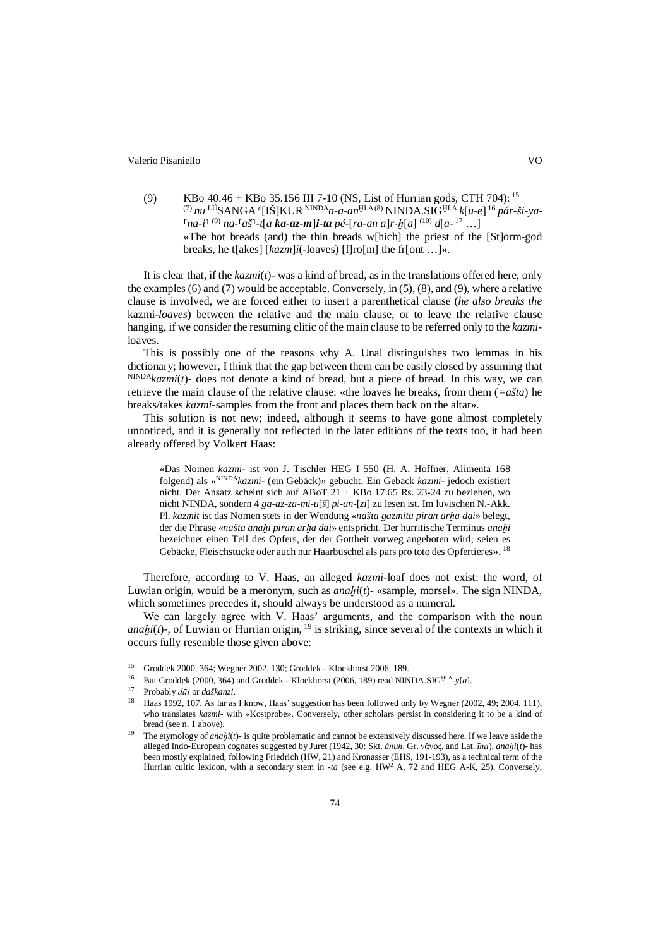(9) KBo  $40.46 +$ KBo  $35.156$  III 7-10 (NS, List of Hurrian gods, CTH 704): <sup>15</sup> (7) *nu* LÚSANGA <sup>d</sup> [IŠ]KUR NINDA*a-a-an*<sup>Ḫ</sup>I.A(8) NINDA.SIG<sup>Ḫ</sup>I.A *k*[*u-e*] <sup>16</sup> *pár-ši-ya-* ⸢*na-i*⸣ (9) *na-*⸢*aš*⸣*-t*[*a ka-az-m*]*i-ta pé-*[*ra-an a*]*r-ḫ*[*a*] (10) *d*[*a-* <sup>17</sup> …] «The hot breads (and) the thin breads w[hich] the priest of the [St]orm-god breaks, he t[akes] [*kazm*]*i*(-loaves) [f]ro[m] the fr[ont …]».

It is clear that, if the *kazmi*(*t*)*-* was a kind of bread, as in the translations offered here, only the examples(6) and (7) would be acceptable. Conversely, in (5), (8), and (9), where a relative clause is involved, we are forced either to insert a parenthetical clause (*he also breaks the* kazmi*-loaves*) between the relative and the main clause, or to leave the relative clause hanging, if we consider the resuming clitic of the main clause to be referred only to the *kazmi*loaves.

This is possibly one of the reasons why A. Ünal distinguishes two lemmas in his dictionary; however, I think that the gap between them can be easily closed by assuming that  $NINDA_kzmi(t)$ - does not denote a kind of bread, but a piece of bread. In this way, we can retrieve the main clause of the relative clause: «the loaves he breaks, from them (*=ašta*) he breaks/takes *kazmi*-samples from the front and places them back on the altar».

This solution is not new; indeed, although it seems to have gone almost completely unnoticed, and it is generally not reflected in the later editions of the texts too, it had been already offered by Volkert Haas:

«Das Nomen *kazmi-* ist von J. Tischler HEG I 550 (H. A. Hoffner, Alimenta 168 folgend) als «NINDA*kazmi-* (ein Gebäck)» gebucht. Ein Gebäck *kazmi-* jedoch existiert nicht. Der Ansatz scheint sich auf ABoT 21 + KBo 17.65 Rs. 23-24 zu beziehen, wo nicht NINDA, sondern 4 *ga-az-za-mi-u*[*š*] *pi-an-*[*zi*] zu lesen ist. Im luvischen N.-Akk. Pl. *kazmit* ist das Nomen stets in der Wendung «*našta gazmita piran arḫa dai*» belegt, der die Phrase «*našta anaḫi piran arḫa dai*» entspricht. Der hurritische Terminus *anaḫi* bezeichnet einen Teil des Opfers, der der Gottheit vorweg angeboten wird; seien es Gebäcke, Fleischstücke oder auch nur Haarbüschel als pars pro toto des Opfertieres». <sup>18</sup>

Therefore, according to V. Haas, an alleged *kazmi*-loaf does not exist: the word, of Luwian origin, would be a meronym, such as *anaḫi*(*t*)*-* «sample, morsel». The sign NINDA, which sometimes precedes it, should always be understood as a numeral.

We can largely agree with V. Haas' arguments, and the comparison with the noun *anahi*( $t$ )-, of Luwian or Hurrian origin,  $19$  is striking, since several of the contexts in which it occurs fully resemble those given above:

<sup>15</sup> Groddek 2000, 364; Wegner 2002, 130; Groddek - Kloekhorst 2006, 189.

<sup>&</sup>lt;sup>16</sup> But Groddek (2000, 364) and Groddek - Kloekhorst (2006, 189) read NINDA.SIG<sup>HLA</sup>-y[*a*].

<sup>17</sup> Probably *dāi* or *daškanzi*.

<sup>18</sup> Haas 1992, 107. As far as I know, Haas' suggestion has been followed only by Wegner (2002, 49; 2004, 111), who translates *kazmi-* with «Kostprobe». Conversely, other scholars persist in considering it to be a kind of bread (see n. 1 above).

The etymology of *anahi*(*t*) - is quite problematic and cannot be extensively discussed here. If we leave aside the alleged Indo-European cognates suggested by Juret (1942, 30: Skt. *áṇuḥ*, Gr. νᾶνος, and Lat. *īna*), *anaḫi*(*t*)*-* has been mostly explained, following Friedrich (HW, 21) and Kronasser (EHS, 191-193), as a technical term of the Hurrian cultic lexicon, with a secondary stem in *-ta* (see e.g. HW2 A, 72 and HEG A-K, 25). Conversely,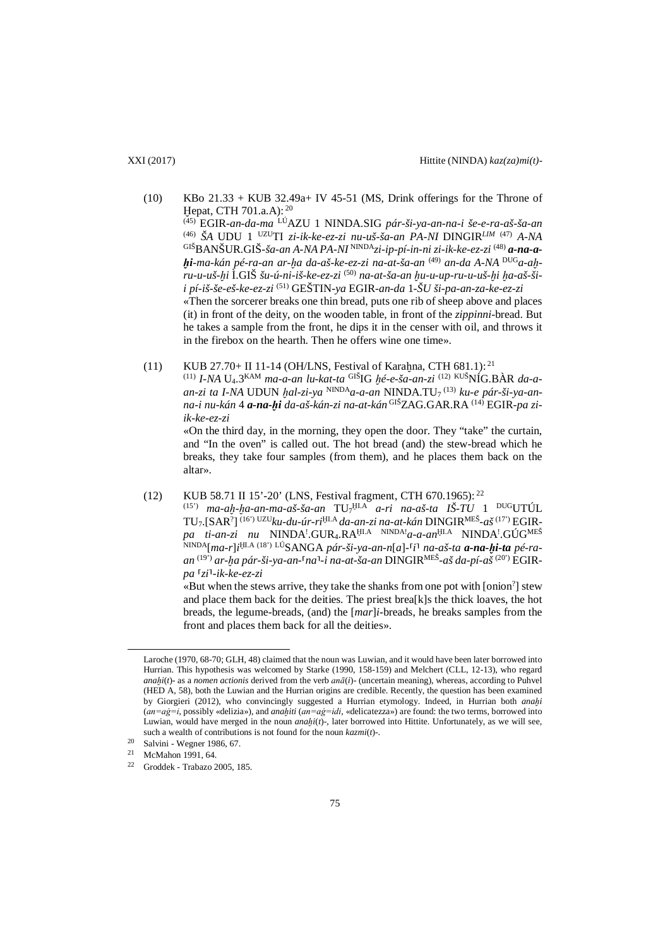- (10) KBo 21.33 + KUB 32.49a+ IV 45-51 (MS, Drink offerings for the Throne of Ḫepat, CTH 701.a.A): <sup>20</sup> (45) EGIR*-an-da-ma* LÚAZU 1 NINDA.SIG *pár-ši-ya-an-na-i še-e-ra-aš-ša-an* (46) *ŠA* UDU 1 UZUTI *zi-ik-ke-ez-zi nu-uš-ša-an PA-NI* DINGIR*LIM* (47) *A-NA* GIŠBANŠUR.GIŠ*-ša-an A-NA PA-NI* NINDA*zi-ip-pí-in-ni zi-ik-ke-ez-zi* (48) *a-na-aḫi-ma-kán pé-ra-an ar-ḫa da-aš-ke-ez-zi na-at-ša-an* (49) *an-da A-NA* DUG*a-aḫru-u-uš-ḫi* Ì.GIŠ *šu-ú-ni-iš-ke-ez-zi* (50) *na-at-ša-an ḫu-u-up-ru-u-uš-ḫi ḫa-aš-šii pí-iš-še-eš-ke-ez-zi* (51) GEŠTIN*-ya* EGIR*-an-da* 1*-ŠU ši-pa-an-za-ke-ez-zi* «Then the sorcerer breaks one thin bread, puts one rib of sheep above and places (it) in front of the deity, on the wooden table, in front of the *zippinni*-bread. But he takes a sample from the front, he dips it in the censer with oil, and throws it in the firebox on the hearth. Then he offers wine one time».
- (11) KUB 27.70+ II 11-14 (OH/LNS, Festival of Karahna, CTH 681.1):<sup>21</sup> (11) *I-NA* U4.3KAM *ma-a-an lu-kat-ta* GIŠIG *ḫé-e-ša-an-zi* (12) KUŠNÍG.BÀR *da-aan-zi ta I-NA* UDUN *ḫal-zi-ya* NINDA*a-a-an* NINDA.TU7 (13) *ku-e pár-ši-ya-anna-i nu-kán* 4 *a-na-ḫi da-aš-kán-zi na-at-kán* GIŠZAG.GAR.RA (14) EGIR*-pa ziik-ke-ez-zi* «On the third day, in the morning, they open the door. They "take" the curtain,

and "In the oven" is called out. The hot bread (and) the stew-bread which he breaks, they take four samples (from them), and he places them back on the altar».

(12) KUB 58.71 II 15'-20' (LNS, Festival fragment, CTH 670.1965): <sup>22</sup> (15') *ma-aḫ-ḫa-an-ma-aš-ša-an* TU7 <sup>Ḫ</sup>I.A *a-ri na-aš-ta IŠ-TU* 1 DUGUTÚL TU7.[SAR? ] (16') UZU*ku-du-úr-ri*<sup>Ḫ</sup>I.A *da-an-zi na-at-kán* DINGIRMEŠ*-aš*(17') EGIRpa ti-an-zi nu NINDA<sup>!</sup>.GUR4.RA<sup>ḤI.A NINDA!</sup>a-a-an<sup>ḤI.A</sup> NINDA<sup>!</sup>.GÚG<sup>MEŠ</sup> NINDA[*ma-r*]*i* <sup>Ḫ</sup>I.A (18') LÚSANGA *pár-ši-ya-an-n*[*a*]*-*⸢*i*⸣ *na-aš-ta a-na-ḫi-ta pé-raan* (19') *ar-ḫa pár-ši-ya-an-*⸢*na*⸣*-i na-at-ša-an* DINGIRMEŠ*-aš da-pí-aš* (20') EGIR*pa* ⸢*zi*⸣*-ik-ke-ez-zi*

«But when the stews arrive, they take the shanks from one pot with [onion? ] stew and place them back for the deities. The priest brea[k]s the thick loaves, the hot breads, the legume-breads, (and) the [*mar*]*i*-breads, he breaks samples from the front and places them back for all the deities».

Laroche (1970, 68-70; GLH, 48) claimed that the noun was Luwian, and it would have been later borrowed into Hurrian. This hypothesis was welcomed by Starke (1990, 158-159) and Melchert (CLL, 12-13), who regard *anahi*( $t$ )*-* as a *nomen actionis* derived from the verb  $an\bar{a}$ ( $i$ )*-* (uncertain meaning), whereas, according to Puhvel (HED A, 58), both the Luwian and the Hurrian origins are credible. Recently, the question has been examined by Giorgieri (2012), who convincingly suggested a Hurrian etymology. Indeed, in Hurrian both *anaḫi* (*an=aġ=i*, possibly «delizia»), and *anaḫiti* (*an=aġ=idi*, «delicatezza») are found: the two terms, borrowed into Luwian, would have merged in the noun *anaḫi*(*t*)*-*, later borrowed into Hittite. Unfortunately, as we will see, such a wealth of contributions is not found for the noun *kazmi*(*t*)*-*.

<sup>20</sup> Salvini - Wegner 1986, 67.

<sup>21</sup> McMahon 1991, 64.

<sup>22</sup> Groddek - Trabazo 2005, 185.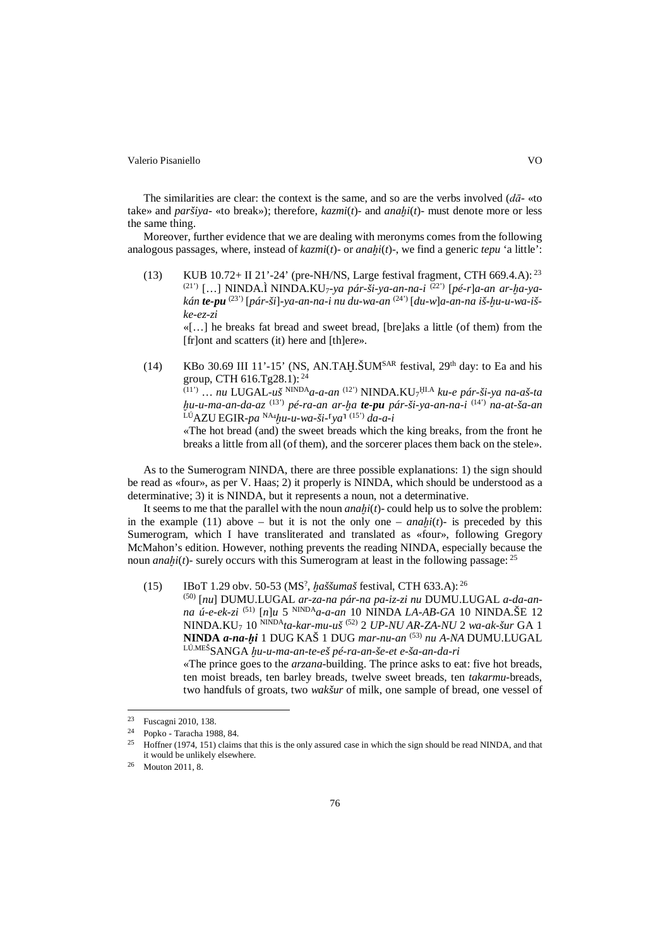The similarities are clear: the context is the same, and so are the verbs involved (*dā-* «to take» and *paršiya-* «to break»); therefore, *kazmi*(*t*)*-* and *anaḫi*(*t*)*-* must denote more or less the same thing.

Moreover, further evidence that we are dealing with meronyms comes from the following analogous passages, where, instead of *kazmi*(*t*)*-* or *anaḫi*(*t*)*-*, we find a generic *tepu* 'a little':

(13) KUB 10.72+ II 21'-24' (pre-NH/NS, Large festival fragment, CTH 669.4.A): <sup>23</sup> (21') […] NINDA.Ì NINDA.KU7*-ya pár-ši-ya-an-na-i* (22') [*pé-r*]*a-an ar-ḫa-yakán te-pu* (23') [*pár-ši*]*-ya-an-na-i nu du-wa-an* (24') [*du-w*]*a-an-na iš-ḫu-u-wa-iške-ez-zi*

«[…] he breaks fat bread and sweet bread, [bre]aks a little (of them) from the [fr]ont and scatters (it) here and [th]ere».

(14) KBo 30.69 III 11'-15' (NS, AN.TAH. $\text{\r{SUM}^{SAR}}$  festival, 29<sup>th</sup> day: to Ea and his group, CTH 616.Tg28.1): <sup>24</sup>

(11') … *nu* LUGAL*-uš* NINDA*a-a-an* (12') NINDA.KU7 <sup>Ḫ</sup>I.A *ku-e pár-ši-ya na-aš-ta ḫu-u-ma-an-da-az* (13') *pé-ra-an ar-ḫa te-pu pár-ši-ya-an-na-i* (14') *na-at-ša-an* LÚAZU EGIR*-pa* NA4 *ḫu-u-wa-ši-*⸢*ya*⸣ (15') *da-a-i*

«The hot bread (and) the sweet breads which the king breaks, from the front he breaks a little from all (of them), and the sorcerer places them back on the stele».

As to the Sumerogram NINDA, there are three possible explanations: 1) the sign should be read as «four», as per V. Haas; 2) it properly is NINDA, which should be understood as a determinative; 3) it is NINDA, but it represents a noun, not a determinative.

It seems to me that the parallel with the noun *anaḫi*(*t*)*-* could help us to solve the problem: in the example (11) above – but it is not the only one – *anahi*(*t*) is preceded by this Sumerogram, which I have transliterated and translated as «four», following Gregory McMahon's edition. However, nothing prevents the reading NINDA, especially because the noun *anahi*(*t*)- surely occurs with this Sumerogram at least in the following passage:  $2^5$ 

(15) IBoT 1.29 obv. 50-53 (MS? , *ḫaššumaš* festival, CTH 633.A): <sup>26</sup>

(50) [*nu*] DUMU.LUGAL *ar-za-na pár-na pa-iz-zi nu* DUMU.LUGAL *a-da-anna ú-e-ek-zi* (51) [*n*]*u* 5 NINDA*a-a-an* 10 NINDA *LA-AB-GA* 10 NINDA.ŠE 12 NINDA.KU7 10 NINDA*ta-kar-mu-uš* (52) 2 *UP-NU AR-ZA-NU* 2 *wa-ak-šur* GA 1 **NINDA** *a-na-ḫi* 1 DUG KAŠ 1 DUG *mar-nu-an* (53) *nu A-NA* DUMU.LUGAL LÚ.MEŠSANGA *ḫu-u-ma-an-te-eš pé-ra-an-še-et e-ša-an-da-ri*

«The prince goes to the *arzana-*building. The prince asks to eat: five hot breads, ten moist breads, ten barley breads, twelve sweet breads, ten *takarmu*-breads, two handfuls of groats, two *wakšur* of milk, one sample of bread, one vessel of

Fuscagni 2010, 138. 23

 $\frac{24}{25}$  Popko - Taracha 1988, 84.

<sup>25</sup> Hoffner (1974, 151) claims that this is the only assured case in which the sign should be read NINDA, and that it would be unlikely elsewhere.

<sup>26</sup> Mouton 2011, 8.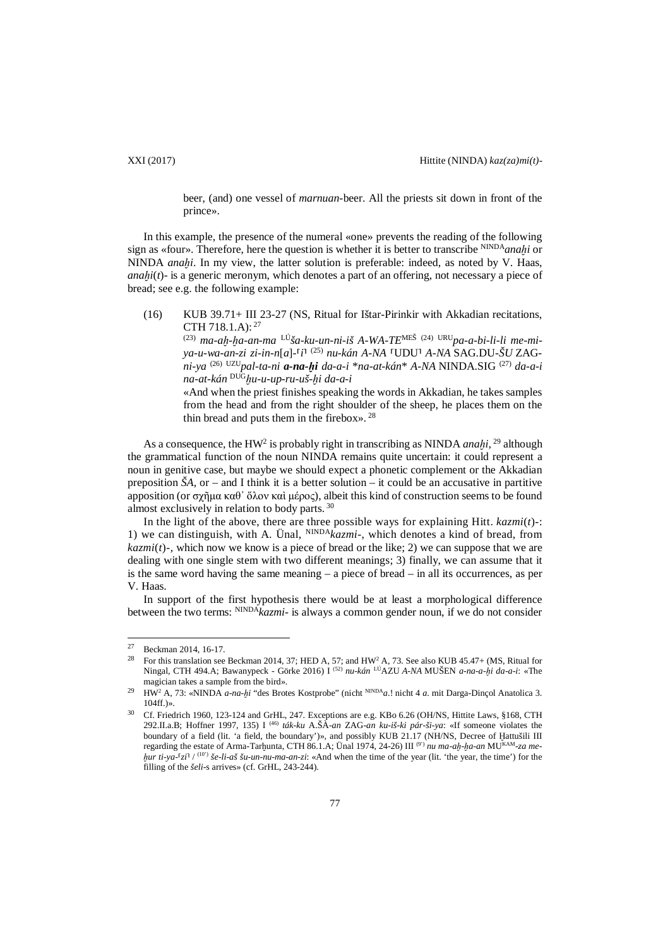beer, (and) one vessel of *marnuan*-beer. All the priests sit down in front of the prince».

In this example, the presence of the numeral «one» prevents the reading of the following sign as «four». Therefore, here the question is whether it is better to transcribe <sup>NINDA</sup>*anahi* or NINDA *anahi*. In my view, the latter solution is preferable: indeed, as noted by V. Haas, *anahi*(*t*) - is a generic meronym, which denotes a part of an offering, not necessary a piece of bread; see e.g. the following example:

(16) KUB 39.71+ III 23-27 (NS, Ritual for Ištar-Pirinkir with Akkadian recitations, CTH 718.1.A): <sup>27</sup>

(23) *ma-aḫ-ḫa-an-ma* LÚ*ša-ku-un-ni-iš A-WA-TE*MEŠ (24) URU*pa-a-bi-li-li me-miya-u-wa-an-zi zi-in-n*[*a*]*-*⸢*i*⸣ (25) *nu-kán A-NA* ⸢UDU⸣ *A-NA* SAG.DU*-ŠU* ZAG*ni-ya* (26) UZU*pal-ta-ni a-na-ḫi da-a-i* \**na-at-kán*\* *A-NA* NINDA.SIG (27) *da-a-i na-at-kán* DUG*ḫu-u-up-ru-uš-ḫi da-a-i*

«And when the priest finishes speaking the words in Akkadian, he takes samples from the head and from the right shoulder of the sheep, he places them on the thin bread and puts them in the firebox». <sup>28</sup>

As a consequence, the HW2 is probably right in transcribing as NINDA *anaḫi*, <sup>29</sup> although the grammatical function of the noun NINDA remains quite uncertain: it could represent a noun in genitive case, but maybe we should expect a phonetic complement or the Akkadian preposition  $\dot{S}A$ , or – and I think it is a better solution – it could be an accusative in partitive apposition (or σχῆμα καθ' ὅλον καὶ μέρος), albeit this kind of construction seems to be found almost exclusively in relation to body parts. <sup>30</sup>

In the light of the above, there are three possible ways for explaining Hitt. *kazmi*(*t*)*-*: 1) we can distinguish, with A. Ünal, NINDA*kazmi-*, which denotes a kind of bread, from  $kazmi(t)$ -, which now we know is a piece of bread or the like; 2) we can suppose that we are dealing with one single stem with two different meanings; 3) finally, we can assume that it is the same word having the same meaning  $-$  a piece of bread  $-$  in all its occurrences, as per V. Haas.

In support of the first hypothesis there would be at least a morphological difference between the two terms: NINDA*kazmi*- is always a common gender noun, if we do not consider

 $27$  Beckman 2014, 16-17.

<sup>&</sup>lt;sup>28</sup> For this translation see Beckman 2014, 37; HED A, 57; and HW<sup>2</sup> A, 73. See also KUB 45.47+ (MS, Ritual for Ningal, CTH 494.A; Bawanypeck - Görke 2016) I (52) *nu-kán* LÚAZU *A-NA* MUŠEN *a-na-a-ḫi da-a-i*: «The magician takes a sample from the bird».

<sup>29</sup> HW2 A, 73: «NINDA *a-na-ḫi* "des Brotes Kostprobe" (nicht NINDA*a*.! nicht 4 *a*. mit Darga-Dinçol Anatolica 3. 104ff.)».

<sup>30</sup> Cf. Friedrich 1960, 123-124 and GrHL, 247. Exceptions are e.g. KBo 6.26 (OH/NS, Hittite Laws, §168, CTH 292.II.a.B; Hoffner 1997, 135) I (46) *ták-ku* A.ŠÀ*-an* ZAG*-an ku-iš-ki pár-ši-ya*: «If someone violates the boundary of a field (lit. 'a field, the boundary')», and possibly KUB 21.17 (NH/NS, Decree of Hattušili III regarding the estate of Arma-Tarhunta, CTH 86.1.A; Unal 1974, 24-26) III<sup>(9')</sup> *nu ma-ah-ha-an* MU<sup>KAM</sup>-za me*hur ti-ya-*<sup> $[$ </sup>zi<sup> $]$ </sup> /<sup>(10')</sup> *še-li-aš šu-un-nu-ma-an-zi*: «And when the time of the year (lit. 'the year, the time') for the filling of the *šeli*-s arrives» (cf. GrHL, 243-244).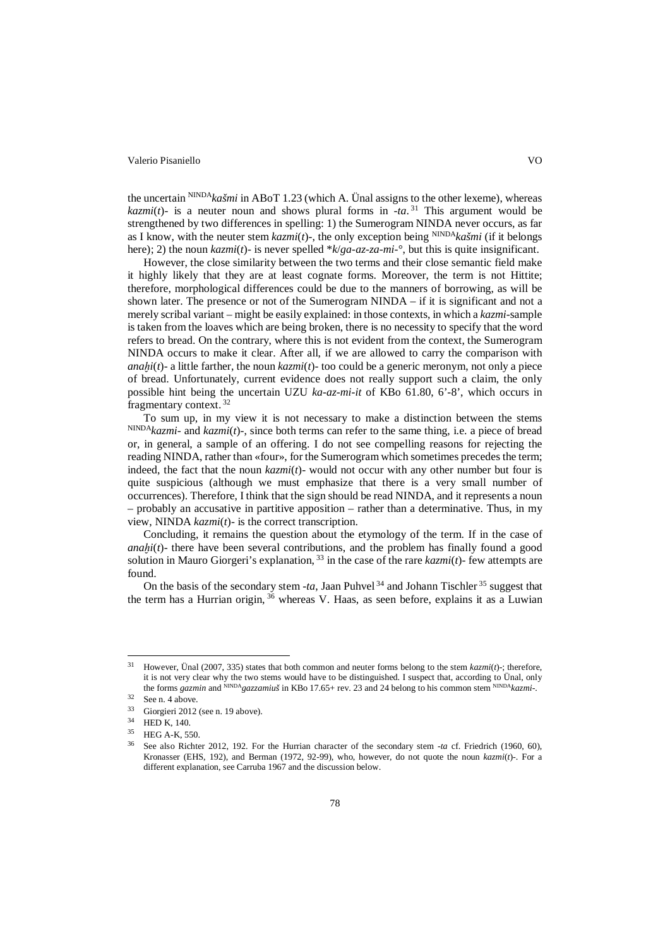the uncertain NINDA*kašmi* in ABoT 1.23 (which A. Ünal assigns to the other lexeme), whereas *kazmi*(*t*)- is a neuter noun and shows plural forms in  $-ta$ <sup>31</sup>. This argument would be strengthened by two differences in spelling: 1) the Sumerogram NINDA never occurs, as far as I know, with the neuter stem *kazmi*(*t*)*-*, the only exception being NINDA*kašmi* (if it belongs here); 2) the noun *kazmi*(*t*)*-* is never spelled \**k*/*ga-az-za-mi-*°, but this is quite insignificant.

However, the close similarity between the two terms and their close semantic field make it highly likely that they are at least cognate forms. Moreover, the term is not Hittite; therefore, morphological differences could be due to the manners of borrowing, as will be shown later. The presence or not of the Sumerogram NINDA – if it is significant and not a merely scribal variant – might be easily explained: in those contexts, in which a *kazmi-*sample is taken from the loaves which are being broken, there is no necessity to specify that the word refers to bread. On the contrary, where this is not evident from the context, the Sumerogram NINDA occurs to make it clear. After all, if we are allowed to carry the comparison with *anahi(t)*- a little farther, the noun  $kazmi(t)$ - too could be a generic meronym, not only a piece of bread. Unfortunately, current evidence does not really support such a claim, the only possible hint being the uncertain UZU *ka-az-mi-it* of KBo 61.80, 6'-8', which occurs in fragmentary context. <sup>32</sup>

To sum up, in my view it is not necessary to make a distinction between the stems NINDA*kazmi-* and *kazmi*(*t*)*-*, since both terms can refer to the same thing, i.e. a piece of bread or, in general, a sample of an offering. I do not see compelling reasons for rejecting the reading NINDA, rather than «four», for the Sumerogram which sometimes precedes the term; indeed, the fact that the noun *kazmi*(*t*)*-* would not occur with any other number but four is quite suspicious (although we must emphasize that there is a very small number of occurrences). Therefore, I think that the sign should be read NINDA, and it represents a noun – probably an accusative in partitive apposition – rather than a determinative. Thus, in my view, NINDA *kazmi*(*t*)*-* is the correct transcription.

Concluding, it remains the question about the etymology of the term. If in the case of *anahi(t)*- there have been several contributions, and the problem has finally found a good solution in Mauro Giorgeri's explanation, <sup>33</sup> in the case of the rare *kazmi*(*t*)*-* few attempts are found.

On the basis of the secondary stem  $-ta$ , Jaan Puhvel<sup>34</sup> and Johann Tischler<sup>35</sup> suggest that the term has a Hurrian origin,  $36$  whereas V. Haas, as seen before, explains it as a Luwian

<sup>31</sup> However, Ünal (2007, 335) states that both common and neuter forms belong to the stem *kazmi*(*t*)*-*; therefore, it is not very clear why the two stems would have to be distinguished. I suspect that, according to Ünal, only the forms *gazmin* and <sup>NINDA</sup>gazzamius in KBo 17.65+ rev. 23 and 24 belong to his common stem NINDA kazmi-.

 $32$  See n. 4 above.

 $^{33}$  Giorgieri 2012 (see n. 19 above).<br> $^{34}$  UED V 140

 $^{34}$  HED K, 140.

 $^{35}$  HEG A-K, 550.<br> $^{36}$  See also Bights

<sup>36</sup> See also Richter 2012, 192. For the Hurrian character of the secondary stem *-ta* cf. Friedrich (1960, 60), Kronasser (EHS, 192), and Berman (1972, 92-99), who, however, do not quote the noun *kazmi*(*t*)*-*. For a different explanation, see Carruba 1967 and the discussion below.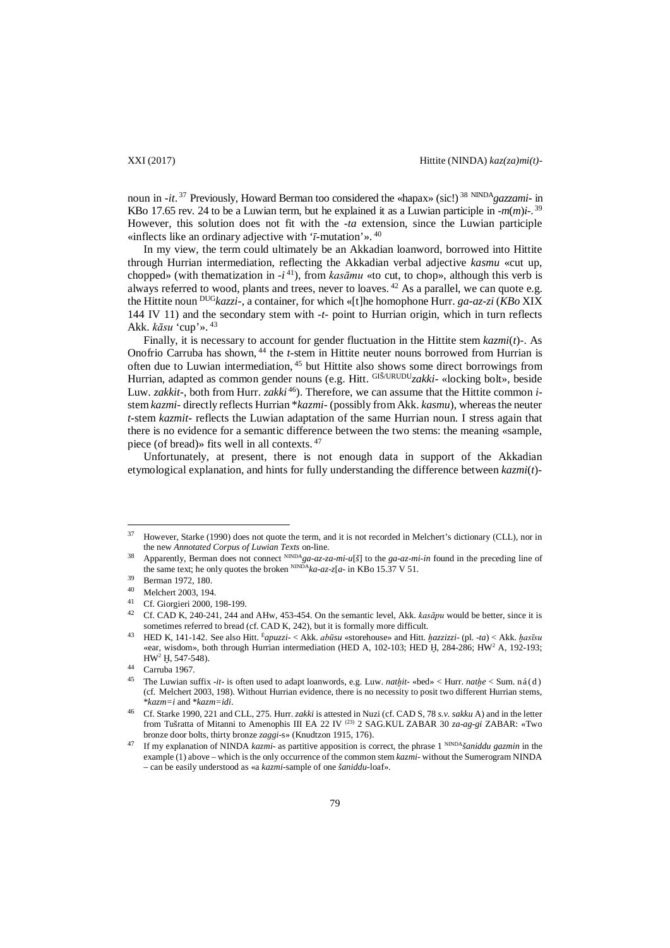noun in *-it*. <sup>37</sup> Previously, Howard Berman too considered the «hapax» (sic!) <sup>38</sup> NINDA*gazzami-* in KBo 17.65 rev. 24 to be a Luwian term, but he explained it as a Luwian participle in *-m*(*m*)*i-*. 39 However, this solution does not fit with the *-ta* extension, since the Luwian participle «inflects like an ordinary adjective with '*ī*-mutation'». <sup>40</sup>

In my view, the term could ultimately be an Akkadian loanword, borrowed into Hittite through Hurrian intermediation, reflecting the Akkadian verbal adjective *kasmu* «cut up, chopped» (with thematization in  $-i^{41}$ ), from *kasāmu* «to cut, to chop», although this verb is always referred to wood, plants and trees, never to loaves.  $42$  As a parallel, we can quote e.g. the Hittite noun DUG*kazzi-*, a container, for which «[t]he homophone Hurr. *ga-az-zi* (*KBo* XIX 144 IV 11) and the secondary stem with *-t-* point to Hurrian origin, which in turn reflects Akk. *kāsu* 'cup'». <sup>43</sup>

Finally, it is necessary to account for gender fluctuation in the Hittite stem *kazmi*(*t*)*-*. As Onofrio Carruba has shown, <sup>44</sup> the *t*-stem in Hittite neuter nouns borrowed from Hurrian is often due to Luwian intermediation, <sup>45</sup> but Hittite also shows some direct borrowings from Hurrian, adapted as common gender nouns (e.g. Hitt. GIŠ/URUDU*zakki-* «locking bolt», beside Luw. *zakkit-*, both from Hurr. *zakki* 46). Therefore, we can assume that the Hittite common *i*stem *kazmi-* directly reflects Hurrian \**kazmi-* (possibly from Akk. *kasmu*), whereas the neuter *t*-stem *kazmit-* reflects the Luwian adaptation of the same Hurrian noun. I stress again that there is no evidence for a semantic difference between the two stems: the meaning «sample, piece (of bread)» fits well in all contexts. <sup>47</sup>

Unfortunately, at present, there is not enough data in support of the Akkadian etymological explanation, and hints for fully understanding the difference between *kazmi*(*t*)*-*

<sup>&</sup>lt;sup>37</sup> However, Starke (1990) does not quote the term, and it is not recorded in Melchert's dictionary (CLL), nor in the new *Annotated Corpus of Luwian Texts* on-line.

<sup>38</sup> Apparently, Berman does not connect NINDA*ga-az-za-mi-u*[*š*] to the *ga-az-mi-in* found in the preceding line of the same text; he only quotes the broken  $NINDA_{ka-az-z}[a-$  in KBo 15.37 V 51.

Berman 1972, 180.

<sup>40</sup> Melchert 2003, 194.

<sup>&</sup>lt;sup>41</sup> Cf. Giorgieri 2000, 198-199.<br><sup>42</sup> Cf. CAD K, 240, 241, 244 en

<sup>42</sup> Cf. CAD K, 240-241, 244 and AHw, 453-454. On the semantic level, Akk. *kasāpu* would be better, since it is sometimes referred to bread (cf. CAD K, 242), but it is formally more difficult.

<sup>43</sup> HED K, 141-142. See also Hitt. É*apuzzi-* < Akk. *abūsu* «storehouse» and Hitt. *ḫazzizzi-* (pl. *-ta*) < Akk. *ḫasīsu* «ear, wisdom», both through Hurrian intermediation (HED A, 102-103; HED Ḫ, 284-286; HW2 A, 192-193; HW2 Ḫ, 547-548).

<sup>44</sup> Carruba 1967.

<sup>45</sup> The Luwian suffix *-it-* is often used to adapt loanwords, e.g. Luw. *natḫit-* «bed» < Hurr. *natḫe* < Sum. ná(d) (cf. Melchert 2003, 198). Without Hurrian evidence, there is no necessity to posit two different Hurrian stems, \**kazm=i* and \**kazm=idi*.

<sup>46</sup> Cf. Starke 1990, 221 and CLL, 275. Hurr. *zakki* is attested in Nuzi (cf. CAD S, 78 *s.v. sakku* A) and in the letter from Tušratta of Mitanni to Amenophis III EA 22 IV (23) 2 SAG.KUL ZABAR 30 *za-ag-gi* ZABAR: «Two bronze door bolts, thirty bronze *zaggi*-s» (Knudtzon 1915, 176).

<sup>47</sup> If my explanation of NINDA *kazmi-* as partitive apposition is correct, the phrase 1 NINDA*šaniddu gazmin* in the example (1) above – which is the only occurrence of the common stem *kazmi-* without the Sumerogram NINDA – can be easily understood as «a *kazmi-*sample of one *šaniddu*-loaf».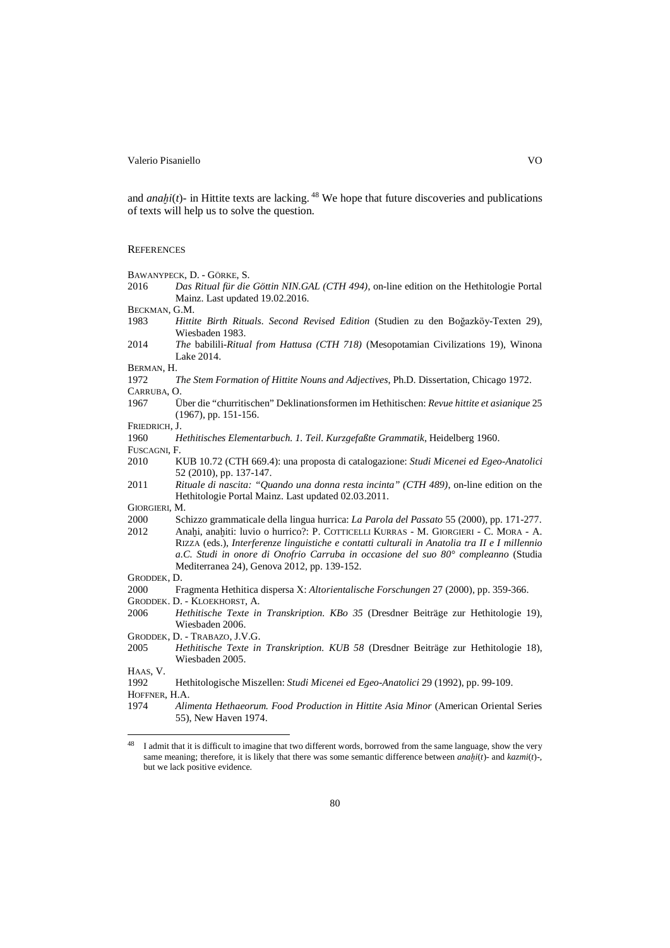and *anahi*( $t$ ) - in Hittite texts are lacking. <sup>48</sup> We hope that future discoveries and publications of texts will help us to solve the question.

#### **REFERENCES**

- BAWANYPECK, D. GÖRKE, S.
- 2016 *Das Ritual für die Göttin NIN.GAL (CTH 494)*, on-line edition on the Hethitologie Portal Mainz. Last updated 19.02.2016.
- BECKMAN, G.M.
- 1983 *Hittite Birth Rituals. Second Revised Edition* (Studien zu den Boğazköy-Texten 29), Wiesbaden 1983.
- 2014 *The* babilili*-Ritual from Hattusa (CTH 718)* (Mesopotamian Civilizations 19), Winona Lake 2014.

BERMAN, H.

- 1972 *The Stem Formation of Hittite Nouns and Adjectives*, Ph.D. Dissertation, Chicago 1972.
- CARRUBA, O.
- 1967 Über die "churritischen" Deklinationsformen im Hethitischen: *Revue hittite et asianique* 25 (1967), pp. 151-156.

- 1960 *Hethitisches Elementarbuch. 1. Teil. Kurzgefaßte Grammatik*, Heidelberg 1960.
- 
- FUSCAGNI, F.<br>2010 K 2010 KUB 10.72 (CTH 669.4): una proposta di catalogazione: *Studi Micenei ed Egeo-Anatolici* 52 (2010), pp. 137-147.
- 2011 *Rituale di nascita: "Quando una donna resta incinta" (CTH 489)*, on-line edition on the Hethitologie Portal Mainz. Last updated 02.03.2011.

GIORGIERI, M.

- 2000 Schizzo grammaticale della lingua hurrica: *La Parola del Passato* 55 (2000), pp. 171-277. Anaḫi, anaḫiti: luvio o hurrico?: P. COTTICELLI KURRAS - M. GIORGIERI - C. MORA - A. RIZZA (eds.), *Interferenze linguistiche e contatti culturali in Anatolia tra II e I millennio a.C. Studi in onore di Onofrio Carruba in occasione del suo 80° compleanno* (Studia Mediterranea 24), Genova 2012, pp. 139-152.
- GRODDEK, D.
- 2000 Fragmenta Hethitica dispersa X: *Altorientalische Forschungen* 27 (2000), pp. 359-366.
- GRODDEK. D. KLOEKHORST, A.
- 2006 *Hethitische Texte in Transkription. KBo 35* (Dresdner Beiträge zur Hethitologie 19), Wiesbaden 2006.
- GRODDEK, D. TRABAZO, J.V.G.<br>2005 Hethitische Texte in
- 2005 *Hethitische Texte in Transkription. KUB 58* (Dresdner Beiträge zur Hethitologie 18), Wiesbaden 2005.

HAAS, V.

 $\overline{a}$ 

1992 Hethitologische Miszellen: *Studi Micenei ed Egeo-Anatolici* 29 (1992), pp. 99-109.

HOFFNER, H.A.

FRIEDRICH, J.

<sup>1974</sup> *Alimenta Hethaeorum. Food Production in Hittite Asia Minor* (American Oriental Series 55), New Haven 1974.

<sup>&</sup>lt;sup>48</sup> I admit that it is difficult to imagine that two different words, borrowed from the same language, show the very same meaning; therefore, it is likely that there was some semantic difference between *anaḫi*(*t*)*-* and *kazmi*(*t*)*-*, but we lack positive evidence.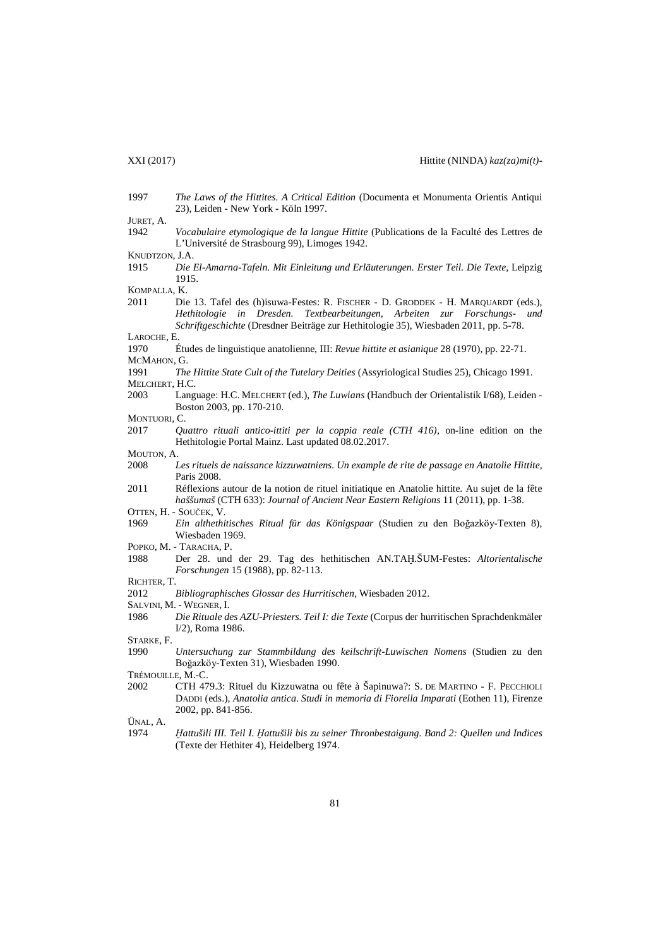- 1997 *The Laws of the Hittites. A Critical Edition* (Documenta et Monumenta Orientis Antiqui 23), Leiden - New York - Köln 1997. JURET, A. 1942 *Vocabulaire etymologique de la langue Hittite* (Publications de la Faculté des Lettres de L'Université de Strasbourg 99), Limoges 1942. KNUDTZON, J.A. 1915 *Die El-Amarna-Tafeln. Mit Einleitung und Erläuterungen. Erster Teil. Die Texte*, Leipzig 1915. KOMPALLA, K. 2011 Die 13. Tafel des (h)isuwa-Festes: R. FISCHER - D. GRODDEK - H. MARQUARDT (eds.), *Hethitologie in Dresden. Textbearbeitungen, Arbeiten zur Forschungs- und Schriftgeschichte* (Dresdner Beiträge zur Hethitologie 35), Wiesbaden 2011, pp. 5-78. LAROCHE, E. 1970 Études de linguistique anatolienne, III: *Revue hittite et asianique* 28 (1970), pp. 22-71. MCMAHON, G. 1991 *The Hittite State Cult of the Tutelary Deities* (Assyriological Studies 25), Chicago 1991.
- MELCHERT, H.C. 2003 Language: H.C. MELCHERT (ed.), *The Luwians* (Handbuch der Orientalistik I/68), Leiden - Boston 2003, pp. 170-210.
- MONTUORI, C.

2017 *Quattro rituali antico-ittiti per la coppia reale (CTH 416)*, on-line edition on the Hethitologie Portal Mainz. Last updated 08.02.2017.

- 
- MOUTON, A. 2008 *Les rituels de naissance kizzuwatniens. Un example de rite de passage en Anatolie Hittite*, Paris 2008.
- 2011 Réflexions autour de la notion de rituel initiatique en Anatolie hittite. Au sujet de la fête *haššumaš* (CTH 633): *Journal of Ancient Near Eastern Religions* 11 (2011), pp. 1-38.
- OTTEN, H. SOUČEK, V.
- 1969 *Ein althethitisches Ritual für das Königspaar* (Studien zu den Boğazköy-Texten 8), Wiesbaden 1969.
- POPKO, M. TARACHA, P.
- 1988 Der 28. und der 29. Tag des hethitischen AN.TAḪ.ŠUM-Festes: *Altorientalische Forschungen* 15 (1988), pp. 82-113.
- RICHTER, T.
- 2012 *Bibliographisches Glossar des Hurritischen*, Wiesbaden 2012.
- SALVINI, M. WEGNER, I.
- 1986 *Die Rituale des AZU-Priesters. Teil I: die Texte* (Corpus der hurritischen Sprachdenkmäler I/2), Roma 1986.

STARKE, F.<br>1990

- 1990 *Untersuchung zur Stammbildung des keilschrift-Luwischen Nomens* (Studien zu den Boğazköy-Texten 31), Wiesbaden 1990.
- TRÉMOUILLE, M.-C.
- 2002 CTH 479.3: Rituel du Kizzuwatna ou fête à Šapinuwa?: S. DE MARTINO F. PECCHIOLI DADDI (eds.), *Anatolia antica. Studi in memoria di Fiorella Imparati* (Eothen 11), Firenze 2002, pp. 841-856.

ÜNAL, A.

1974 *Ḫattušili III. Teil I. Ḫattušili bis zu seiner Thronbestaigung. Band 2: Quellen und Indices* (Texte der Hethiter 4), Heidelberg 1974.